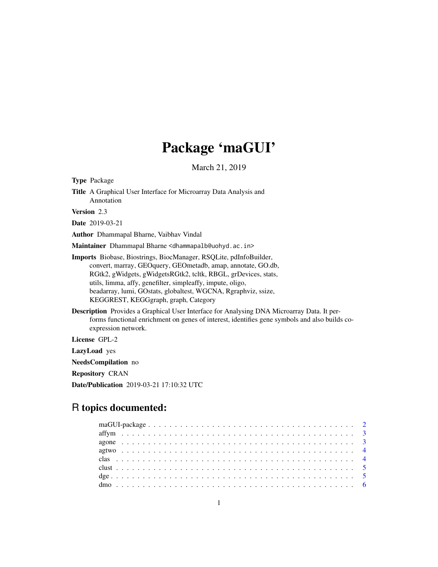# Package 'maGUI'

March 21, 2019

Type Package Title A Graphical User Interface for Microarray Data Analysis and Annotation Version 2.3 Date 2019-03-21 Author Dhammapal Bharne, Vaibhav Vindal

Maintainer Dhammapal Bharne <dhammapalb@uohyd.ac.in>

Imports Biobase, Biostrings, BiocManager, RSQLite, pdInfoBuilder, convert, marray, GEOquery, GEOmetadb, amap, annotate, GO.db, RGtk2, gWidgets, gWidgetsRGtk2, tcltk, RBGL, grDevices, stats, utils, limma, affy, genefilter, simpleaffy, impute, oligo, beadarray, lumi, GOstats, globaltest, WGCNA, Rgraphviz, ssize, KEGGREST, KEGGgraph, graph, Category

Description Provides a Graphical User Interface for Analysing DNA Microarray Data. It performs functional enrichment on genes of interest, identifies gene symbols and also builds coexpression network.

License GPL-2

LazyLoad yes

NeedsCompilation no

Repository CRAN

Date/Publication 2019-03-21 17:10:32 UTC

# R topics documented: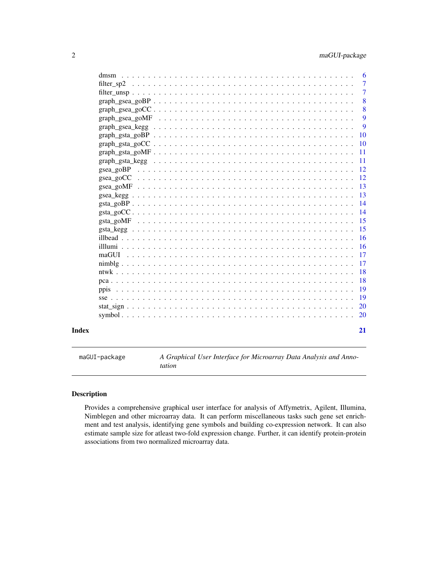<span id="page-1-0"></span>

|       |                                                                                                                                                                                                                               | $\overline{7}$  |
|-------|-------------------------------------------------------------------------------------------------------------------------------------------------------------------------------------------------------------------------------|-----------------|
|       |                                                                                                                                                                                                                               | $\overline{7}$  |
|       |                                                                                                                                                                                                                               | 8               |
|       |                                                                                                                                                                                                                               | 8               |
|       |                                                                                                                                                                                                                               | 9               |
|       |                                                                                                                                                                                                                               | 9               |
|       |                                                                                                                                                                                                                               | 10              |
|       |                                                                                                                                                                                                                               |                 |
|       | $graph\_gsta\_gOMF \ldots \ldots \ldots \ldots \ldots \ldots \ldots \ldots \ldots \ldots \ldots \ldots \ldots$                                                                                                                | $\overline{11}$ |
|       | graph_gsta_kegg \contact \contact \contact \contact \contact \contact \contact \contact \contact \contact \contact \contact \contact \contact \contact \contact \contact \contact \contact \contact \contact \contact \contac |                 |
|       |                                                                                                                                                                                                                               |                 |
|       |                                                                                                                                                                                                                               |                 |
|       |                                                                                                                                                                                                                               |                 |
|       |                                                                                                                                                                                                                               |                 |
|       |                                                                                                                                                                                                                               |                 |
|       |                                                                                                                                                                                                                               |                 |
|       |                                                                                                                                                                                                                               |                 |
|       |                                                                                                                                                                                                                               |                 |
|       |                                                                                                                                                                                                                               |                 |
|       |                                                                                                                                                                                                                               |                 |
|       |                                                                                                                                                                                                                               |                 |
|       |                                                                                                                                                                                                                               |                 |
|       |                                                                                                                                                                                                                               | $\sqrt{18}$     |
|       |                                                                                                                                                                                                                               |                 |
|       |                                                                                                                                                                                                                               |                 |
|       |                                                                                                                                                                                                                               |                 |
|       |                                                                                                                                                                                                                               |                 |
|       |                                                                                                                                                                                                                               |                 |
| Index |                                                                                                                                                                                                                               | 21              |

maGUI-package *A Graphical User Interface for Microarray Data Analysis and Annotation*

# Description

Provides a comprehensive graphical user interface for analysis of Affymetrix, Agilent, Illumina, Nimblegen and other microarray data. It can perform miscellaneous tasks such gene set enrichment and test analysis, identifying gene symbols and building co-expression network. It can also estimate sample size for atleast two-fold expression change. Further, it can identify protein-protein associations from two normalized microarray data.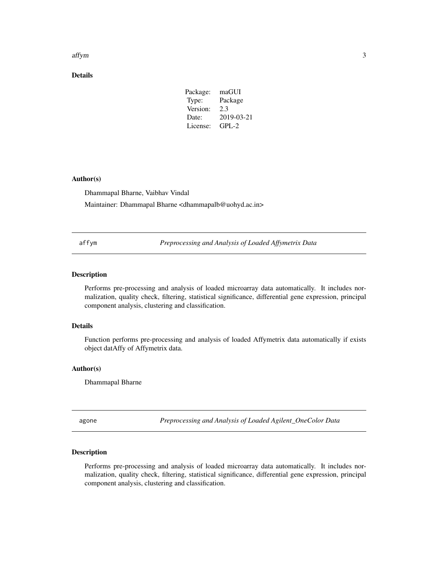#### <span id="page-2-0"></span>affym the contract of the contract of the contract of the contract of the contract of the contract of the contract of the contract of the contract of the contract of the contract of the contract of the contract of the cont

# Details

| maGUI      |
|------------|
| Package    |
| 2.3        |
| 2019-03-21 |
| $GPI - 2$  |
|            |

# Author(s)

Dhammapal Bharne, Vaibhav Vindal

Maintainer: Dhammapal Bharne <dhammapalb@uohyd.ac.in>

affym *Preprocessing and Analysis of Loaded Affymetrix Data*

# Description

Performs pre-processing and analysis of loaded microarray data automatically. It includes normalization, quality check, filtering, statistical significance, differential gene expression, principal component analysis, clustering and classification.

# Details

Function performs pre-processing and analysis of loaded Affymetrix data automatically if exists object datAffy of Affymetrix data.

# Author(s)

Dhammapal Bharne

agone *Preprocessing and Analysis of Loaded Agilent\_OneColor Data*

# Description

Performs pre-processing and analysis of loaded microarray data automatically. It includes normalization, quality check, filtering, statistical significance, differential gene expression, principal component analysis, clustering and classification.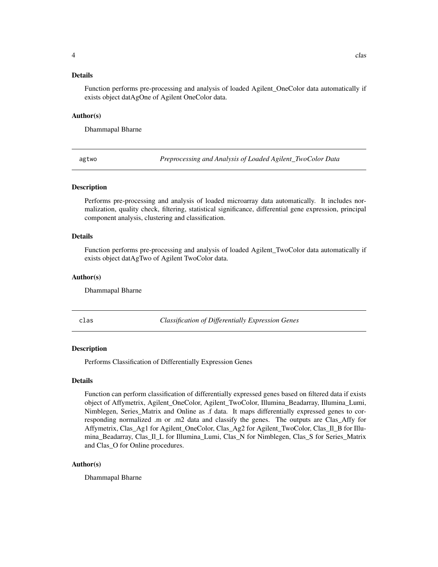# <span id="page-3-0"></span>Details

Function performs pre-processing and analysis of loaded Agilent\_OneColor data automatically if exists object datAgOne of Agilent OneColor data.

#### Author(s)

Dhammapal Bharne

agtwo *Preprocessing and Analysis of Loaded Agilent\_TwoColor Data*

# **Description**

Performs pre-processing and analysis of loaded microarray data automatically. It includes normalization, quality check, filtering, statistical significance, differential gene expression, principal component analysis, clustering and classification.

#### Details

Function performs pre-processing and analysis of loaded Agilent\_TwoColor data automatically if exists object datAgTwo of Agilent TwoColor data.

#### Author(s)

Dhammapal Bharne

clas *Classification of Differentially Expression Genes*

#### **Description**

Performs Classification of Differentially Expression Genes

# Details

Function can perform classification of differentially expressed genes based on filtered data if exists object of Affymetrix, Agilent\_OneColor, Agilent\_TwoColor, Illumina\_Beadarray, Illumina\_Lumi, Nimblegen, Series\_Matrix and Online as .f data. It maps differentially expressed genes to corresponding normalized .m or .m2 data and classify the genes. The outputs are Clas\_Affy for Affymetrix, Clas\_Ag1 for Agilent\_OneColor, Clas\_Ag2 for Agilent\_TwoColor, Clas\_Il\_B for Illumina\_Beadarray, Clas\_Il\_L for Illumina\_Lumi, Clas\_N for Nimblegen, Clas\_S for Series\_Matrix and Clas\_O for Online procedures.

#### Author(s)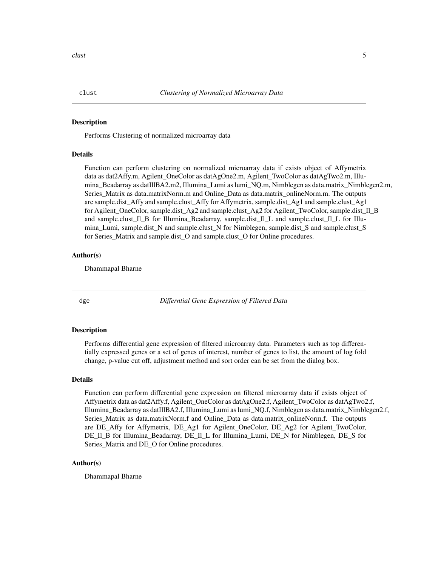<span id="page-4-0"></span>Performs Clustering of normalized microarray data

# Details

Function can perform clustering on normalized microarray data if exists object of Affymetrix data as dat2Affy.m, Agilent\_OneColor as datAgOne2.m, Agilent\_TwoColor as datAgTwo2.m, Illumina\_Beadarray as datIllBA2.m2, Illumina\_Lumi as lumi\_NQ.m, Nimblegen as data.matrix\_Nimblegen2.m, Series\_Matrix as data.matrixNorm.m and Online\_Data as data.matrix\_onlineNorm.m. The outputs are sample.dist\_Affy and sample.clust\_Affy for Affymetrix, sample.dist\_Ag1 and sample.clust\_Ag1 for Agilent\_OneColor, sample.dist\_Ag2 and sample.clust\_Ag2 for Agilent\_TwoColor, sample.dist\_Il\_B and sample.clust\_Il\_B for Illumina\_Beadarray, sample.dist\_Il\_L and sample.clust\_Il\_L for Illumina\_Lumi, sample.dist\_N and sample.clust\_N for Nimblegen, sample.dist\_S and sample.clust\_S for Series\_Matrix and sample.dist\_O and sample.clust\_O for Online procedures.

# Author(s)

Dhammapal Bharne

dge *Differntial Gene Expression of Filtered Data*

#### Description

Performs differential gene expression of filtered microarray data. Parameters such as top differentially expressed genes or a set of genes of interest, number of genes to list, the amount of log fold change, p-value cut off, adjustment method and sort order can be set from the dialog box.

#### Details

Function can perform differential gene expression on filtered microarray data if exists object of Affymetrix data as dat2Affy.f, Agilent\_OneColor as datAgOne2.f, Agilent\_TwoColor as datAgTwo2.f, Illumina\_Beadarray as datIllBA2.f, Illumina\_Lumi as lumi\_NQ.f, Nimblegen as data.matrix\_Nimblegen2.f, Series Matrix as data.matrixNorm.f and Online Data as data.matrix onlineNorm.f. The outputs are DE Affy for Affymetrix, DE Ag1 for Agilent OneColor, DE Ag2 for Agilent TwoColor, DE\_Il\_B for Illumina\_Beadarray, DE\_Il\_L for Illumina\_Lumi, DE\_N for Nimblegen, DE\_S for Series\_Matrix and DE\_O for Online procedures.

#### Author(s)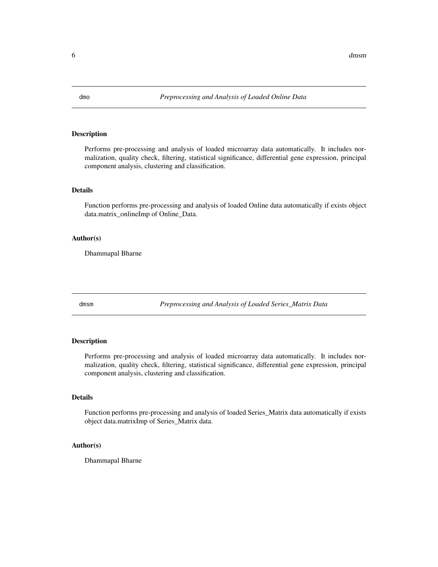<span id="page-5-0"></span>

Performs pre-processing and analysis of loaded microarray data automatically. It includes normalization, quality check, filtering, statistical significance, differential gene expression, principal component analysis, clustering and classification.

#### Details

Function performs pre-processing and analysis of loaded Online data automatically if exists object data.matrix\_onlineImp of Online\_Data.

#### Author(s)

Dhammapal Bharne

dmsm *Preprocessing and Analysis of Loaded Series\_Matrix Data*

# Description

Performs pre-processing and analysis of loaded microarray data automatically. It includes normalization, quality check, filtering, statistical significance, differential gene expression, principal component analysis, clustering and classification.

# Details

Function performs pre-processing and analysis of loaded Series\_Matrix data automatically if exists object data.matrixImp of Series\_Matrix data.

# Author(s)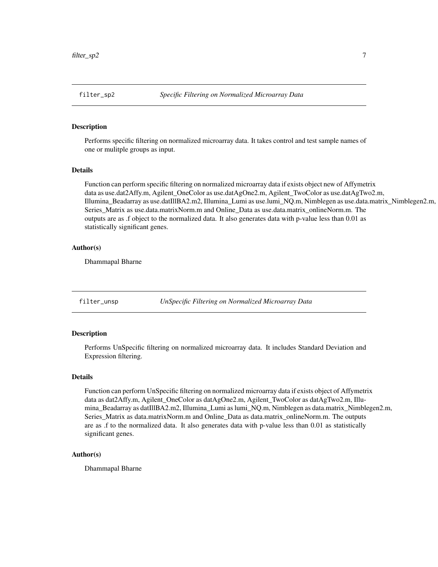<span id="page-6-0"></span>

Performs specific filtering on normalized microarray data. It takes control and test sample names of one or mulitple groups as input.

#### Details

Function can perform specific filtering on normalized microarray data if exists object new of Affymetrix data as use.dat2Affy.m, Agilent\_OneColor as use.datAgOne2.m, Agilent\_TwoColor as use.datAgTwo2.m, Illumina\_Beadarray as use.datIllBA2.m2, Illumina\_Lumi as use.lumi\_NQ.m, Nimblegen as use.data.matrix\_Nimblegen2.m, Series Matrix as use.data.matrixNorm.m and Online Data as use.data.matrix\_onlineNorm.m. The outputs are as .f object to the normalized data. It also generates data with p-value less than 0.01 as statistically significant genes.

# Author(s)

Dhammapal Bharne

filter\_unsp *UnSpecific Filtering on Normalized Microarray Data*

#### **Description**

Performs UnSpecific filtering on normalized microarray data. It includes Standard Deviation and Expression filtering.

# Details

Function can perform UnSpecific filtering on normalized microarray data if exists object of Affymetrix data as dat2Affy.m, Agilent\_OneColor as datAgOne2.m, Agilent\_TwoColor as datAgTwo2.m, Illumina\_Beadarray as datIllBA2.m2, Illumina\_Lumi as lumi\_NQ.m, Nimblegen as data.matrix\_Nimblegen2.m, Series\_Matrix as data.matrixNorm.m and Online\_Data as data.matrix\_onlineNorm.m. The outputs are as .f to the normalized data. It also generates data with p-value less than 0.01 as statistically significant genes.

#### Author(s)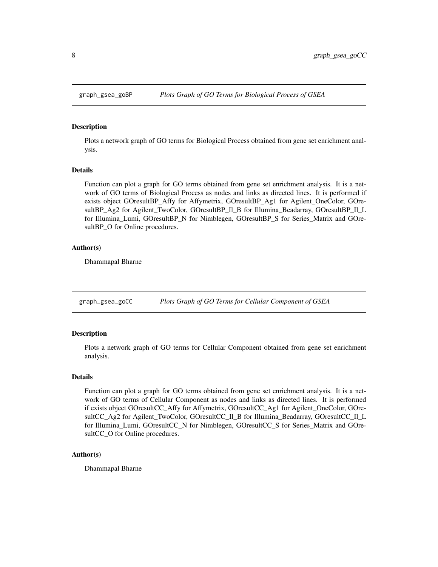<span id="page-7-0"></span>

Plots a network graph of GO terms for Biological Process obtained from gene set enrichment analysis.

#### Details

Function can plot a graph for GO terms obtained from gene set enrichment analysis. It is a network of GO terms of Biological Process as nodes and links as directed lines. It is performed if exists object GOresultBP\_Affy for Affymetrix, GOresultBP\_Ag1 for Agilent\_OneColor, GOresultBP\_Ag2 for Agilent\_TwoColor, GOresultBP\_Il\_B for Illumina\_Beadarray, GOresultBP\_Il\_L for Illumina\_Lumi, GOresultBP\_N for Nimblegen, GOresultBP\_S for Series\_Matrix and GOresultBP\_O for Online procedures.

# Author(s)

Dhammapal Bharne

graph\_gsea\_goCC *Plots Graph of GO Terms for Cellular Component of GSEA*

# **Description**

Plots a network graph of GO terms for Cellular Component obtained from gene set enrichment analysis.

# Details

Function can plot a graph for GO terms obtained from gene set enrichment analysis. It is a network of GO terms of Cellular Component as nodes and links as directed lines. It is performed if exists object GOresultCC\_Affy for Affymetrix, GOresultCC\_Ag1 for Agilent\_OneColor, GOresultCC\_Ag2 for Agilent\_TwoColor, GOresultCC\_Il\_B for Illumina\_Beadarray, GOresultCC\_Il\_L for Illumina\_Lumi, GOresultCC\_N for Nimblegen, GOresultCC\_S for Series\_Matrix and GOresultCC\_O for Online procedures.

#### Author(s)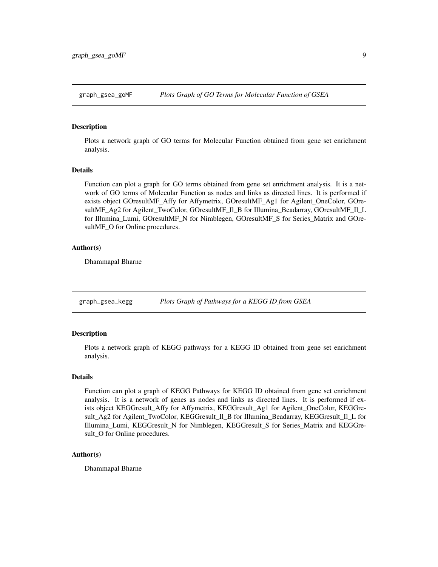<span id="page-8-0"></span>

Plots a network graph of GO terms for Molecular Function obtained from gene set enrichment analysis.

#### Details

Function can plot a graph for GO terms obtained from gene set enrichment analysis. It is a network of GO terms of Molecular Function as nodes and links as directed lines. It is performed if exists object GOresultMF\_Affy for Affymetrix, GOresultMF\_Ag1 for Agilent\_OneColor, GOresultMF\_Ag2 for Agilent\_TwoColor, GOresultMF\_Il\_B for Illumina\_Beadarray, GOresultMF\_Il\_L for Illumina\_Lumi, GOresultMF\_N for Nimblegen, GOresultMF\_S for Series\_Matrix and GOresultMF\_O for Online procedures.

# Author(s)

Dhammapal Bharne

graph\_gsea\_kegg *Plots Graph of Pathways for a KEGG ID from GSEA*

# **Description**

Plots a network graph of KEGG pathways for a KEGG ID obtained from gene set enrichment analysis.

# Details

Function can plot a graph of KEGG Pathways for KEGG ID obtained from gene set enrichment analysis. It is a network of genes as nodes and links as directed lines. It is performed if exists object KEGGresult\_Affy for Affymetrix, KEGGresult\_Ag1 for Agilent\_OneColor, KEGGresult\_Ag2 for Agilent\_TwoColor, KEGGresult\_Il\_B for Illumina\_Beadarray, KEGGresult\_Il\_L for Illumina\_Lumi, KEGGresult\_N for Nimblegen, KEGGresult\_S for Series\_Matrix and KEGGresult\_O for Online procedures.

#### Author(s)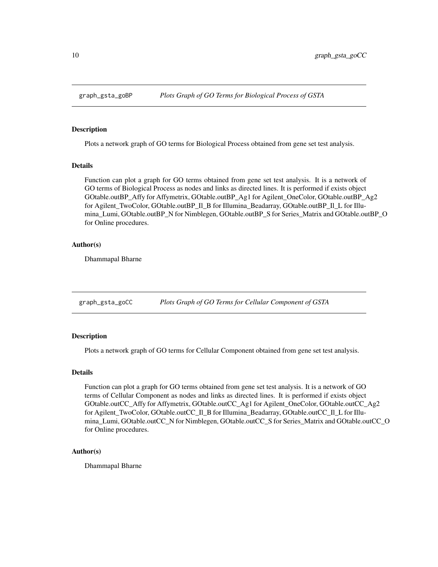<span id="page-9-0"></span>

Plots a network graph of GO terms for Biological Process obtained from gene set test analysis.

#### Details

Function can plot a graph for GO terms obtained from gene set test analysis. It is a network of GO terms of Biological Process as nodes and links as directed lines. It is performed if exists object GOtable.outBP\_Affy for Affymetrix, GOtable.outBP\_Ag1 for Agilent\_OneColor, GOtable.outBP\_Ag2 for Agilent TwoColor, GOtable.outBP\_Il\_B for Illumina\_Beadarray, GOtable.outBP\_Il\_L for Illumina\_Lumi, GOtable.outBP\_N for Nimblegen, GOtable.outBP\_S for Series\_Matrix and GOtable.outBP\_O for Online procedures.

# Author(s)

Dhammapal Bharne

graph\_gsta\_goCC *Plots Graph of GO Terms for Cellular Component of GSTA*

# Description

Plots a network graph of GO terms for Cellular Component obtained from gene set test analysis.

#### Details

Function can plot a graph for GO terms obtained from gene set test analysis. It is a network of GO terms of Cellular Component as nodes and links as directed lines. It is performed if exists object GOtable.outCC\_Affy for Affymetrix, GOtable.outCC\_Ag1 for Agilent\_OneColor, GOtable.outCC\_Ag2 for Agilent\_TwoColor, GOtable.outCC\_Il\_B for Illumina\_Beadarray, GOtable.outCC\_Il\_L for Illumina\_Lumi, GOtable.outCC\_N for Nimblegen, GOtable.outCC\_S for Series\_Matrix and GOtable.outCC\_O for Online procedures.

#### Author(s)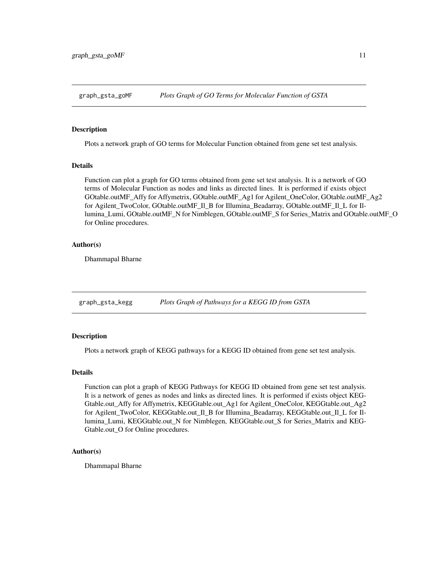<span id="page-10-0"></span>

Plots a network graph of GO terms for Molecular Function obtained from gene set test analysis.

#### Details

Function can plot a graph for GO terms obtained from gene set test analysis. It is a network of GO terms of Molecular Function as nodes and links as directed lines. It is performed if exists object GOtable.outMF\_Affy for Affymetrix, GOtable.outMF\_Ag1 for Agilent\_OneColor, GOtable.outMF\_Ag2 for Agilent TwoColor, GOtable.outMF\_Il\_B for Illumina\_Beadarray, GOtable.outMF\_Il\_L for Illumina\_Lumi, GOtable.outMF\_N for Nimblegen, GOtable.outMF\_S for Series\_Matrix and GOtable.outMF\_O for Online procedures.

# Author(s)

Dhammapal Bharne

graph\_gsta\_kegg *Plots Graph of Pathways for a KEGG ID from GSTA*

# Description

Plots a network graph of KEGG pathways for a KEGG ID obtained from gene set test analysis.

# Details

Function can plot a graph of KEGG Pathways for KEGG ID obtained from gene set test analysis. It is a network of genes as nodes and links as directed lines. It is performed if exists object KEG-Gtable.out\_Affy for Affymetrix, KEGGtable.out\_Ag1 for Agilent\_OneColor, KEGGtable.out\_Ag2 for Agilent\_TwoColor, KEGGtable.out\_Il\_B for Illumina\_Beadarray, KEGGtable.out\_Il\_L for Illumina\_Lumi, KEGGtable.out\_N for Nimblegen, KEGGtable.out\_S for Series\_Matrix and KEG-Gtable.out\_O for Online procedures.

#### Author(s)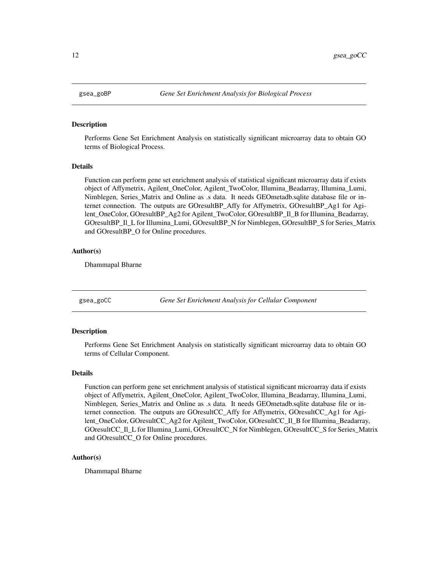<span id="page-11-0"></span>

Performs Gene Set Enrichment Analysis on statistically significant microarray data to obtain GO terms of Biological Process.

#### Details

Function can perform gene set enrichment analysis of statistical significant microarray data if exists object of Affymetrix, Agilent\_OneColor, Agilent\_TwoColor, Illumina\_Beadarray, Illumina\_Lumi, Nimblegen, Series\_Matrix and Online as .s data. It needs GEOmetadb.sqlite database file or internet connection. The outputs are GOresultBP\_Affy for Affymetrix, GOresultBP\_Ag1 for Agilent\_OneColor, GOresultBP\_Ag2 for Agilent\_TwoColor, GOresultBP\_Il\_B for Illumina\_Beadarray, GOresultBP\_Il\_L for Illumina\_Lumi, GOresultBP\_N for Nimblegen, GOresultBP\_S for Series\_Matrix and GOresultBP\_O for Online procedures.

# Author(s)

Dhammapal Bharne

gsea\_goCC *Gene Set Enrichment Analysis for Cellular Component*

# Description

Performs Gene Set Enrichment Analysis on statistically significant microarray data to obtain GO terms of Cellular Component.

# Details

Function can perform gene set enrichment analysis of statistical significant microarray data if exists object of Affymetrix, Agilent\_OneColor, Agilent\_TwoColor, Illumina\_Beadarray, Illumina\_Lumi, Nimblegen, Series\_Matrix and Online as .s data. It needs GEOmetadb.sqlite database file or internet connection. The outputs are GOresultCC\_Affy for Affymetrix, GOresultCC\_Ag1 for Agilent\_OneColor, GOresultCC\_Ag2 for Agilent\_TwoColor, GOresultCC\_Il\_B for Illumina\_Beadarray, GOresultCC\_Il\_L for Illumina\_Lumi, GOresultCC\_N for Nimblegen, GOresultCC\_S for Series\_Matrix and GOresultCC\_O for Online procedures.

# Author(s)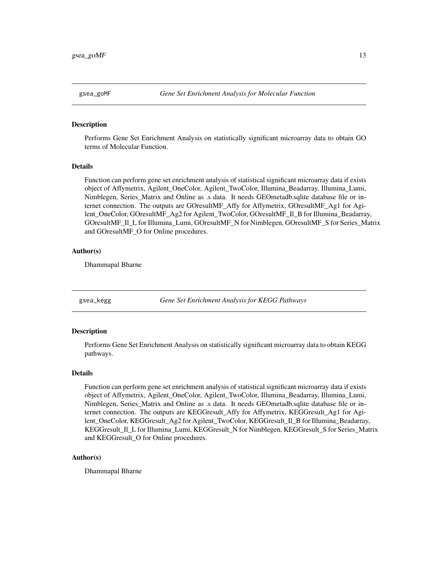<span id="page-12-0"></span>

Performs Gene Set Enrichment Analysis on statistically significant microarray data to obtain GO terms of Molecular Function.

#### Details

Function can perform gene set enrichment analysis of statistical significant microarray data if exists object of Affymetrix, Agilent\_OneColor, Agilent\_TwoColor, Illumina\_Beadarray, Illumina\_Lumi, Nimblegen, Series\_Matrix and Online as .s data. It needs GEOmetadb.sqlite database file or internet connection. The outputs are GOresultMF\_Affy for Affymetrix, GOresultMF\_Ag1 for Agilent\_OneColor, GOresultMF\_Ag2 for Agilent\_TwoColor, GOresultMF\_Il\_B for Illumina\_Beadarray, GOresultMF\_Il\_L for Illumina\_Lumi, GOresultMF\_N for Nimblegen, GOresultMF\_S for Series\_Matrix and GOresultMF\_O for Online procedures.

# Author(s)

Dhammapal Bharne

gsea\_kegg *Gene Set Enrichment Analysis for KEGG Pathways*

# Description

Performs Gene Set Enrichment Analysis on statistically significant microarray data to obtain KEGG pathways.

# Details

Function can perform gene set enrichment analysis of statistical significant microarray data if exists object of Affymetrix, Agilent\_OneColor, Agilent\_TwoColor, Illumina\_Beadarray, Illumina\_Lumi, Nimblegen, Series\_Matrix and Online as .s data. It needs GEOmetadb.sqlite database file or internet connection. The outputs are KEGGresult\_Affy for Affymetrix, KEGGresult\_Ag1 for Agilent\_OneColor, KEGGresult\_Ag2 for Agilent\_TwoColor, KEGGresult\_Il\_B for Illumina\_Beadarray, KEGGresult\_Il\_L for Illumina\_Lumi, KEGGresult\_N for Nimblegen, KEGGresult\_S for Series\_Matrix and KEGGresult\_O for Online procedures.

# Author(s)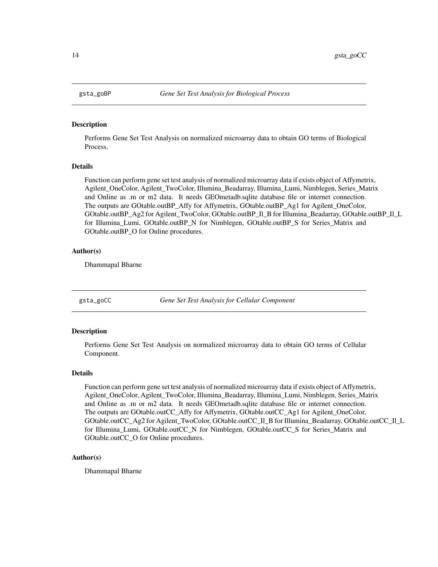<span id="page-13-0"></span>

Performs Gene Set Test Analysis on normalized microarray data to obtain GO terms of Biological Process.

#### Details

Function can perform gene set test analysis of normalized microarray data if exists object of Affymetrix, Agilent\_OneColor, Agilent\_TwoColor, Illumina\_Beadarray, Illumina\_Lumi, Nimblegen, Series\_Matrix and Online as .m or m2 data. It needs GEOmetadb.sqlite database file or internet connection. The outputs are GOtable.outBP\_Affy for Affymetrix, GOtable.outBP\_Ag1 for Agilent\_OneColor, GOtable.outBP\_Ag2 for Agilent\_TwoColor, GOtable.outBP\_Il\_B for Illumina\_Beadarray, GOtable.outBP\_Il\_L for Illumina Lumi, GOtable.outBP\_N for Nimblegen, GOtable.outBP\_S for Series\_Matrix and GOtable.outBP\_O for Online procedures.

# Author(s)

Dhammapal Bharne

gsta\_goCC *Gene Set Test Analysis for Cellular Component*

# Description

Performs Gene Set Test Analysis on normalized microarray data to obtain GO terms of Cellular Component.

# Details

Function can perform gene set test analysis of normalized microarray data if exists object of Affymetrix, Agilent\_OneColor, Agilent\_TwoColor, Illumina\_Beadarray, Illumina\_Lumi, Nimblegen, Series\_Matrix and Online as .m or m2 data. It needs GEOmetadb.sqlite database file or internet connection. The outputs are GOtable.outCC\_Affy for Affymetrix, GOtable.outCC\_Ag1 for Agilent\_OneColor, GOtable.outCC\_Ag2 for Agilent\_TwoColor, GOtable.outCC\_Il\_B for Illumina\_Beadarray, GOtable.outCC\_Il\_L for Illumina\_Lumi, GOtable.outCC\_N for Nimblegen, GOtable.outCC\_S for Series\_Matrix and GOtable.outCC\_O for Online procedures.

# Author(s)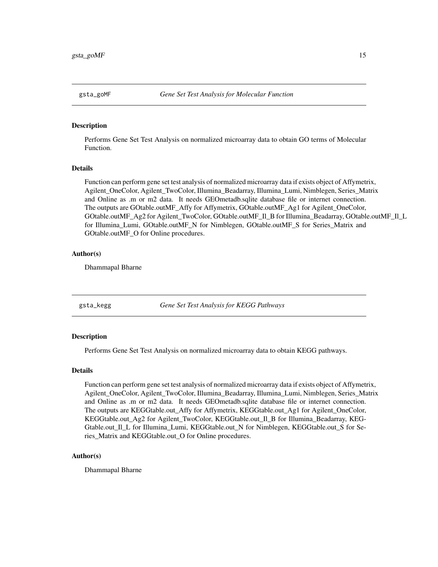<span id="page-14-0"></span>

Performs Gene Set Test Analysis on normalized microarray data to obtain GO terms of Molecular Function.

#### Details

Function can perform gene set test analysis of normalized microarray data if exists object of Affymetrix, Agilent\_OneColor, Agilent\_TwoColor, Illumina\_Beadarray, Illumina\_Lumi, Nimblegen, Series\_Matrix and Online as .m or m2 data. It needs GEOmetadb.sqlite database file or internet connection. The outputs are GOtable.outMF\_Affy for Affymetrix, GOtable.outMF\_Ag1 for Agilent\_OneColor, GOtable.outMF\_Ag2 for Agilent\_TwoColor, GOtable.outMF\_Il\_B for Illumina\_Beadarray, GOtable.outMF\_Il\_L for Illumina\_Lumi, GOtable.outMF\_N for Nimblegen, GOtable.outMF\_S for Series\_Matrix and GOtable.outMF\_O for Online procedures.

# Author(s)

Dhammapal Bharne

gsta\_kegg *Gene Set Test Analysis for KEGG Pathways*

# Description

Performs Gene Set Test Analysis on normalized microarray data to obtain KEGG pathways.

# Details

Function can perform gene set test analysis of normalized microarray data if exists object of Affymetrix, Agilent\_OneColor, Agilent\_TwoColor, Illumina\_Beadarray, Illumina\_Lumi, Nimblegen, Series\_Matrix and Online as .m or m2 data. It needs GEOmetadb.sqlite database file or internet connection. The outputs are KEGGtable.out\_Affy for Affymetrix, KEGGtable.out\_Ag1 for Agilent\_OneColor, KEGGtable.out\_Ag2 for Agilent\_TwoColor, KEGGtable.out\_Il\_B for Illumina\_Beadarray, KEG-Gtable.out\_Il\_L for Illumina\_Lumi, KEGGtable.out\_N for Nimblegen, KEGGtable.out\_S for Series\_Matrix and KEGGtable.out\_O for Online procedures.

# Author(s)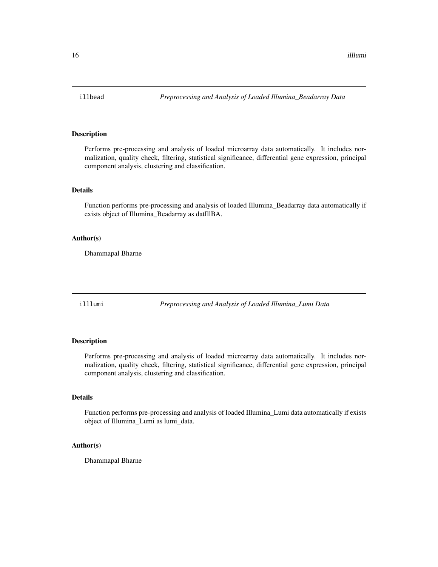<span id="page-15-0"></span>

Performs pre-processing and analysis of loaded microarray data automatically. It includes normalization, quality check, filtering, statistical significance, differential gene expression, principal component analysis, clustering and classification.

#### Details

Function performs pre-processing and analysis of loaded Illumina\_Beadarray data automatically if exists object of Illumina\_Beadarray as datIllBA.

#### Author(s)

Dhammapal Bharne

illlumi *Preprocessing and Analysis of Loaded Illumina\_Lumi Data*

# Description

Performs pre-processing and analysis of loaded microarray data automatically. It includes normalization, quality check, filtering, statistical significance, differential gene expression, principal component analysis, clustering and classification.

# Details

Function performs pre-processing and analysis of loaded Illumina\_Lumi data automatically if exists object of Illumina\_Lumi as lumi\_data.

# Author(s)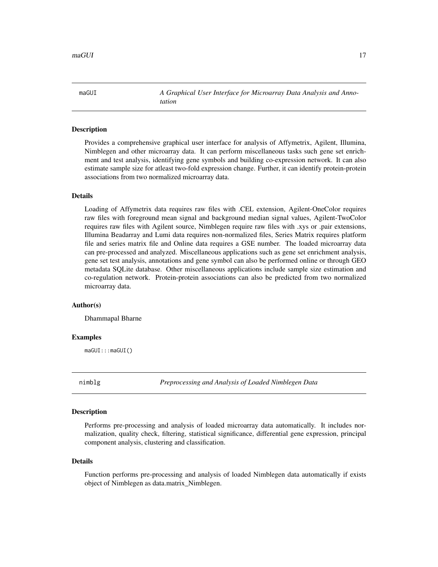<span id="page-16-0"></span>maGUI *A Graphical User Interface for Microarray Data Analysis and Annotation*

# Description

Provides a comprehensive graphical user interface for analysis of Affymetrix, Agilent, Illumina, Nimblegen and other microarray data. It can perform miscellaneous tasks such gene set enrichment and test analysis, identifying gene symbols and building co-expression network. It can also estimate sample size for atleast two-fold expression change. Further, it can identify protein-protein associations from two normalized microarray data.

#### Details

Loading of Affymetrix data requires raw files with .CEL extension, Agilent-OneColor requires raw files with foreground mean signal and background median signal values, Agilent-TwoColor requires raw files with Agilent source, Nimblegen require raw files with .xys or .pair extensions, Illumina Beadarray and Lumi data requires non-normalized files, Series Matrix requires platform file and series matrix file and Online data requires a GSE number. The loaded microarray data can pre-processed and analyzed. Miscellaneous applications such as gene set enrichment analysis, gene set test analysis, annotations and gene symbol can also be performed online or through GEO metadata SQLite database. Other miscellaneous applications include sample size estimation and co-regulation network. Protein-protein associations can also be predicted from two normalized microarray data.

#### Author(s)

Dhammapal Bharne

# Examples

maGUI:::maGUI()

nimblg *Preprocessing and Analysis of Loaded Nimblegen Data*

#### **Description**

Performs pre-processing and analysis of loaded microarray data automatically. It includes normalization, quality check, filtering, statistical significance, differential gene expression, principal component analysis, clustering and classification.

# Details

Function performs pre-processing and analysis of loaded Nimblegen data automatically if exists object of Nimblegen as data.matrix\_Nimblegen.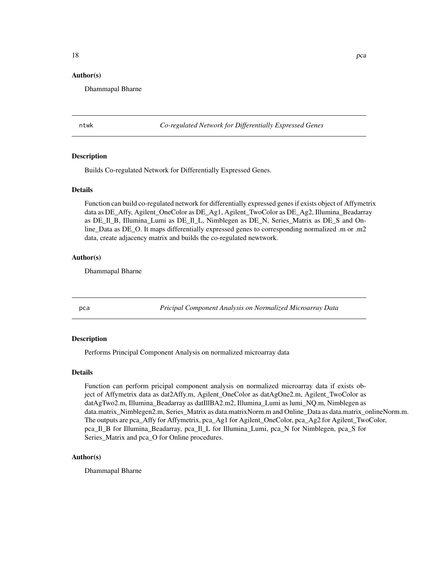# <span id="page-17-0"></span>Author(s)

Dhammapal Bharne

ntwk *Co-regulated Network for Differentially Expressed Genes*

# Description

Builds Co-regulated Network for Differentially Expressed Genes.

## Details

Function can build co-regulated network for differentially expressed genes if exists object of Affymetrix data as DE\_Affy, Agilent\_OneColor as DE\_Ag1, Agilent\_TwoColor as DE\_Ag2, Illumina\_Beadarray as DE\_Il\_B, Illumina\_Lumi as DE\_Il\_L, Nimblegen as DE\_N, Series\_Matrix as DE\_S and Online Data as DE O. It maps differentially expressed genes to corresponding normalized .m or .m2 data, create adjacency matrix and builds the co-regulated newtwork.

#### Author(s)

Dhammapal Bharne

pca *Pricipal Component Analysis on Normalized Microarray Data*

# Description

Performs Principal Component Analysis on normalized microarray data

#### Details

Function can perform pricipal component analysis on normalized microarray data if exists object of Affymetrix data as dat2Affy.m, Agilent\_OneColor as datAgOne2.m, Agilent\_TwoColor as datAgTwo2.m, Illumina\_Beadarray as datIllBA2.m2, Illumina\_Lumi as lumi\_NQ.m, Nimblegen as data.matrix\_Nimblegen2.m, Series\_Matrix as data.matrixNorm.m and Online\_Data as data.matrix\_onlineNorm.m. The outputs are pca\_Affy for Affymetrix, pca\_Ag1 for Agilent\_OneColor, pca\_Ag2 for Agilent\_TwoColor, pca\_Il\_B for Illumina\_Beadarray, pca\_Il\_L for Illumina\_Lumi, pca\_N for Nimblegen, pca\_S for Series\_Matrix and pca\_O for Online procedures.

# Author(s)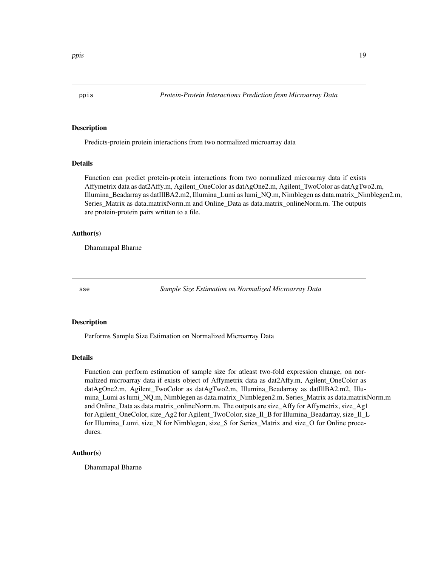<span id="page-18-0"></span>

Predicts-protein protein interactions from two normalized microarray data

# Details

Function can predict protein-protein interactions from two normalized microarray data if exists Affymetrix data as dat2Affy.m, Agilent\_OneColor as datAgOne2.m, Agilent\_TwoColor as datAgTwo2.m, Illumina\_Beadarray as datIllBA2.m2, Illumina\_Lumi as lumi\_NQ.m, Nimblegen as data.matrix\_Nimblegen2.m, Series\_Matrix as data.matrixNorm.m and Online\_Data as data.matrix\_onlineNorm.m. The outputs are protein-protein pairs written to a file.

# Author(s)

Dhammapal Bharne

sse *Sample Size Estimation on Normalized Microarray Data*

#### **Description**

Performs Sample Size Estimation on Normalized Microarray Data

# Details

Function can perform estimation of sample size for atleast two-fold expression change, on normalized microarray data if exists object of Affymetrix data as dat2Affy.m, Agilent\_OneColor as datAgOne2.m, Agilent\_TwoColor as datAgTwo2.m, Illumina\_Beadarray as datIllBA2.m2, Illumina\_Lumi as lumi\_NQ.m, Nimblegen as data.matrix\_Nimblegen2.m, Series\_Matrix as data.matrixNorm.m and Online\_Data as data.matrix\_onlineNorm.m. The outputs are size\_Affy for Affymetrix, size\_Ag1 for Agilent\_OneColor, size\_Ag2 for Agilent\_TwoColor, size\_Il\_B for Illumina\_Beadarray, size\_Il\_L for Illumina\_Lumi, size\_N for Nimblegen, size\_S for Series\_Matrix and size\_O for Online procedures.

# Author(s)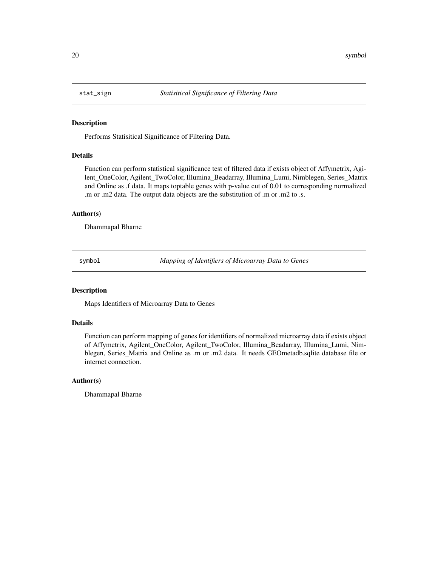<span id="page-19-0"></span>

Performs Statisitical Significance of Filtering Data.

# Details

Function can perform statistical significance test of filtered data if exists object of Affymetrix, Agilent\_OneColor, Agilent\_TwoColor, Illumina\_Beadarray, Illumina\_Lumi, Nimblegen, Series\_Matrix and Online as .f data. It maps toptable genes with p-value cut of 0.01 to corresponding normalized .m or .m2 data. The output data objects are the substitution of .m or .m2 to .s.

#### Author(s)

Dhammapal Bharne

symbol *Mapping of Identifiers of Microarray Data to Genes*

#### Description

Maps Identifiers of Microarray Data to Genes

# Details

Function can perform mapping of genes for identifiers of normalized microarray data if exists object of Affymetrix, Agilent\_OneColor, Agilent\_TwoColor, Illumina\_Beadarray, Illumina\_Lumi, Nimblegen, Series\_Matrix and Online as .m or .m2 data. It needs GEOmetadb.sqlite database file or internet connection.

# Author(s)